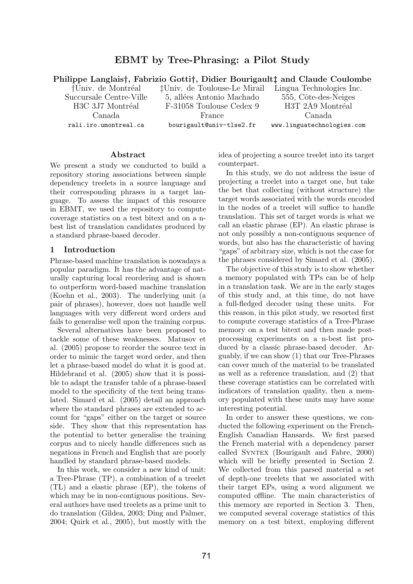# EBMT by Tree-Phrasing: a Pilot Study

Philippe Langlais†, Fabrizio Gotti†, Didier Bourigault‡ and Claude Coulombe

†Univ. de Montréal Succursale Centre-Ville H<sub>3</sub>C 3J7 Montréal Canada rali.iro.umontreal.ca

‡Univ. de Toulouse-Le Mirail 5, allées Antonio Machado F-31058 Toulouse Cedex 9 France bourigault@univ-tlse2.fr

Lingua Technologies Inc. 555, Côte-des-Neiges H3T 2A9 Montréal Canada www.linguatechnologies.com

#### Abstract

We present a study we conducted to build a repository storing associations between simple dependency treelets in a source language and their corresponding phrases in a target language. To assess the impact of this resource in EBMT, we used the repository to compute coverage statistics on a test bitext and on a nbest list of translation candidates produced by a standard phrase-based decoder.

#### 1 Introduction

Phrase-based machine translation is nowadays a popular paradigm. It has the advantage of naturally capturing local reordering and is shown to outperform word-based machine translation (Koehn et al., 2003). The underlying unit (a pair of phrases), however, does not handle well languages with very different word orders and fails to generalise well upon the training corpus.

Several alternatives have been proposed to tackle some of these weaknesses. Matusov et al. (2005) propose to reorder the source text in order to mimic the target word order, and then let a phrase-based model do what it is good at. Hildebrand et al. (2005) show that it is possible to adapt the transfer table of a phrase-based model to the specificity of the text being translated. Simard et al. (2005) detail an approach where the standard phrases are extended to account for "gaps" either on the target or source side. They show that this representation has the potential to better generalise the training corpus and to nicely handle differences such as negations in French and English that are poorly handled by standard phrase-based models.

In this work, we consider a new kind of unit: a Tree-Phrase (TP), a combination of a treelet (TL) and a elastic phrase (EP), the tokens of which may be in non-contiguous positions. Several authors have used treelets as a prime unit to do translation (Gildea, 2003; Ding and Palmer, 2004; Quirk et al., 2005), but mostly with the idea of projecting a source treelet into its target counterpart.

In this study, we do not address the issue of projecting a treelet into a target one, but take the bet that collecting (without structure) the target words associated with the words encoded in the nodes of a treelet will suffice to handle translation. This set of target words is what we call an elastic phrase (EP). An elastic phrase is not only possibly a non-contiguous sequence of words, but also has the characteristic of having "gaps" of arbitrary size, which is not the case for the phrases considered by Simard et al. (2005).

The objective of this study is to show whether a memory populated with TPs can be of help in a translation task. We are in the early stages of this study and, at this time, do not have a full-fledged decoder using these units. For this reason, in this pilot study, we resorted first to compute coverage statistics of a Tree-Phrase memory on a test bitext and then made postprocessing experiments on a n-best list produced by a classic phrase-based decoder. Arguably, if we can show (1) that our Tree-Phrases can cover much of the material to be translated as well as a reference translation, and (2) that these coverage statistics can be correlated with indicators of translation quality, then a memory populated with these units may have some interesting potential.

In order to answer these questions, we conducted the following experiment on the French-English Canadian Hansards. We first parsed the French material with a dependency parser called Syntex (Bourigault and Fabre, 2000) which will be briefly presented in Section 2. We collected from this parsed material a set of depth-one treelets that we associated with their target EPs, using a word alignment we computed offline. The main characteristics of this memory are reported in Section 3. Then, we computed several coverage statistics of this memory on a test bitext, employing different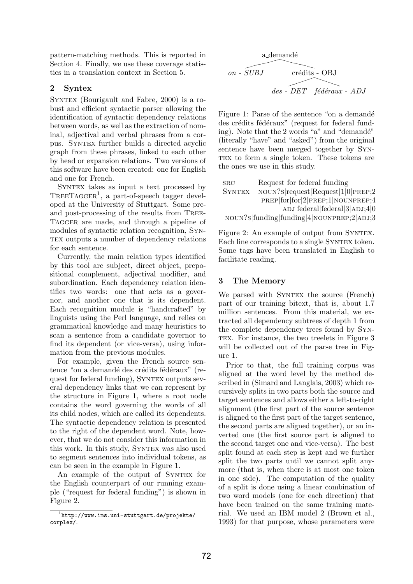pattern-matching methods. This is reported in Section 4. Finally, we use these coverage statistics in a translation context in Section 5.

## 2 Syntex

Syntex (Bourigault and Fabre, 2000) is a robust and efficient syntactic parser allowing the identification of syntactic dependency relations between words, as well as the extraction of nominal, adjectival and verbal phrases from a corpus. Syntex further builds a directed acyclic graph from these phrases, linked to each other by head or expansion relations. Two versions of this software have been created: one for English and one for French.

Syntex takes as input a text processed by TREETAGGER<sup>1</sup>, a part-of-speech tagger developed at the University of Stuttgart. Some preand post-processing of the results from Tree-TAGGER are made, and through a pipeline of modules of syntactic relation recognition, Syn-TEX outputs a number of dependency relations for each sentence.

Currently, the main relation types identified by this tool are subject, direct object, prepositional complement, adjectival modifier, and subordination. Each dependency relation identifies two words: one that acts as a governor, and another one that is its dependent. Each recognition module is "handcrafted" by linguists using the Perl language, and relies on grammatical knowledge and many heuristics to scan a sentence from a candidate governor to find its dependent (or vice-versa), using information from the previous modules.

For example, given the French source sentence "on a demandé des crédits fédéraux" (request for federal funding), Syntex outputs several dependency links that we can represent by the structure in Figure 1, where a root node contains the word governing the words of all its child nodes, which are called its dependents. The syntactic dependency relation is presented to the right of the dependent word. Note, however, that we do not consider this information in this work. In this study, Syntex was also used to segment sentences into individual tokens, as can be seen in the example in Figure 1.

An example of the output of SYNTEX for the English counterpart of our running example ("request for federal funding") is shown in Figure 2.

a
$$
a
$$
 -  
\n $SUBJ$    
\n $d$    
\n $d$  -  
\n $D$  -  
\n $d$  -  
\n $d$  -  
\n $D$  -  
\n $C$  +  
\n $C$  +  
\n $C$  +  
\n $C$  +  
\n $C$  +  
\n $C$  +  
\n $C$  +  
\n $C$  +  
\n $C$  +  
\n $C$  +  
\n $C$  +  
\n $C$  +  
\n $C$  +  
\n $C$  +  
\n $C$  +  
\n $C$  +  
\n $C$  +  
\n $C$  +  
\n $C$  +  
\n $C$  +  
\n $C$  +  
\n $C$  +  
\n $C$  +  
\n $C$  +  
\n $C$  +  
\n $C$  +  
\n $C$  +  
\n $C$  +  
\n $C$  +  
\n $C$  +  
\n $C$  +  
\n $C$  +  
\n $C$  +  
\n $C$  +  
\n $C$  +  
\n $C$  +  
\n $C$  +  
\n $C$  +  
\n $C$  +  
\n $C$  +  
\n $C$  +  
\n $C$  +  
\n $C$  +  
\

Figure 1: Parse of the sentence "on a demandé" des crédits fédéraux" (request for federal funding). Note that the 2 words "a" and "demandé" (literally "have" and "asked") from the original sentence have been merged together by Syn-TEX to form a single token. These tokens are the ones we use in this study.

| <b>SRC</b>    | Request for federal funding                                  |
|---------------|--------------------------------------------------------------|
| <b>SYNTEX</b> | $\text{NOUN?s}$ request $\text{Request}$ $1 0 \text{PREF};2$ |
|               | PREP for 2 PREP;1 NOUNPREP;4                                 |
|               | $ADJ$ [federal] $3 ADJ;4 0$                                  |
|               | NOUN?S funding funding 4 NOUNPREP;2 ADJ;3                    |

Figure 2: An example of output from SYNTEX. Each line corresponds to a single SYNTEX token. Some tags have been translated in English to facilitate reading.

# 3 The Memory

We parsed with SYNTEX the source (French) part of our training bitext, that is, about 1.7 million sentences. From this material, we extracted all dependency subtrees of depth 1 from the complete dependency trees found by Syn-TEX. For instance, the two treelets in Figure 3 will be collected out of the parse tree in Figure 1.

Prior to that, the full training corpus was aligned at the word level by the method described in (Simard and Langlais, 2003) which recursively splits in two parts both the source and target sentences and allows either a left-to-right alignment (the first part of the source sentence is aligned to the first part of the target sentence, the second parts are aligned together), or an inverted one (the first source part is aligned to the second target one and vice-versa). The best split found at each step is kept and we further split the two parts until we cannot split anymore (that is, when there is at most one token in one side). The computation of the quality of a split is done using a linear combination of two word models (one for each direction) that have been trained on the same training material. We used an IBM model 2 (Brown et al., 1993) for that purpose, whose parameters were

<sup>1</sup> http://www.ims.uni-stuttgart.de/projekte/ corplex/.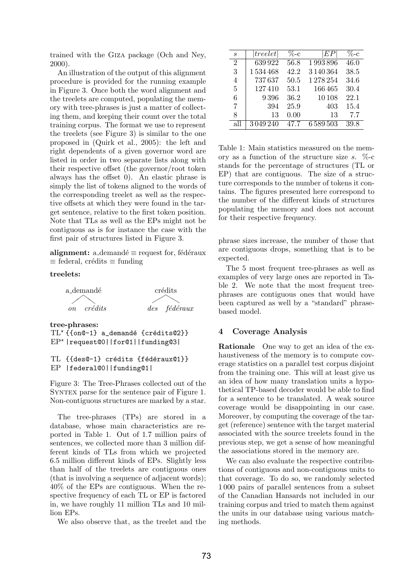trained with the Giza package (Och and Ney, 2000).

An illustration of the output of this alignment procedure is provided for the running example in Figure 3. Once both the word alignment and the treelets are computed, populating the memory with tree-phrases is just a matter of collecting them, and keeping their count over the total training corpus. The format we use to represent the treelets (see Figure 3) is similar to the one proposed in (Quirk et al., 2005): the left and right dependents of a given governor word are listed in order in two separate lists along with their respective offset (the governor/root token always has the offset 0). An elastic phrase is simply the list of tokens aligned to the words of the corresponding treelet as well as the respective offsets at which they were found in the target sentence, relative to the first token position. Note that TLs as well as the EPs might not be contiguous as is for instance the case with the first pair of structures listed in Figure 3.

alignment: a demandé  $\equiv$  request for, fédéraux  $\equiv$  federal, crédits  $\equiv$  funding

> crédits ❜❜

#### treelets:



tree-phrases:  $TL^{\star}$  { {on@-1} a demandé {crédits@2}} EP? |request@0||for@1||funding@3|

### TL {{des@-1} crédits {fédéraux@1}} EP |federal@0||funding@1|

Figure 3: The Tree-Phrases collected out of the Syntex parse for the sentence pair of Figure 1. Non-contiguous structures are marked by a star.

The tree-phrases (TPs) are stored in a database, whose main characteristics are reported in Table 1. Out of 1.7 million pairs of sentences, we collected more than 3 million different kinds of TLs from which we projected 6.5 million different kinds of EPs. Slightly less than half of the treelets are contiguous ones (that is involving a sequence of adjacent words); 40% of the EPs are contiguous. When the respective frequency of each TL or EP is factored in, we have roughly 11 million TLs and 10 million EPs.

We also observe that, as the treelet and the

| S   | treelet | $\%$ -с | EP      | $\%$ -с |
|-----|---------|---------|---------|---------|
| 2   | 639922  | 56.8    | 1993896 | 46.0    |
| 3   | 1534468 | 42.2    | 3140364 | 38.5    |
| 4   | 737637  | 50.5    | 1278254 | 34.6    |
| 5   | 127410  | 53.1    | 166465  | 30.4    |
| 6   | 9396    | 36.2    | 10108   | 22.1    |
| 7   | 394     | 25.9    | 403     | 15.4    |
| 8   | 13      | 0.00    | 13      | 7.7     |
| all | 3049240 | 47.7    | 6589503 | 39.8    |

Table 1: Main statistics measured on the memory as a function of the structure size s.  $\%$ -c stands for the percentage of structures (TL or EP) that are contiguous. The size of a structure corresponds to the number of tokens it contains. The figures presented here correspond to the number of the different kinds of structures populating the memory and does not account for their respective frequency.

phrase sizes increase, the number of those that are contiguous drops, something that is to be expected.

The 5 most frequent tree-phrases as well as examples of very large ones are reported in Table 2. We note that the most frequent treephrases are contiguous ones that would have been captured as well by a "standard" phrasebased model.

#### 4 Coverage Analysis

Rationale One way to get an idea of the exhaustiveness of the memory is to compute coverage statistics on a parallel test corpus disjoint from the training one. This will at least give us an idea of how many translation units a hypothetical TP-based decoder would be able to find for a sentence to be translated. A weak source coverage would be disappointing in our case. Moreover, by computing the coverage of the target (reference) sentence with the target material associated with the source treelets found in the previous step, we get a sense of how meaningful the associations stored in the memory are.

We can also evaluate the respective contributions of contiguous and non-contiguous units to that coverage. To do so, we randomly selected 1 000 pairs of parallel sentences from a subset of the Canadian Hansards not included in our training corpus and tried to match them against the units in our database using various matching methods.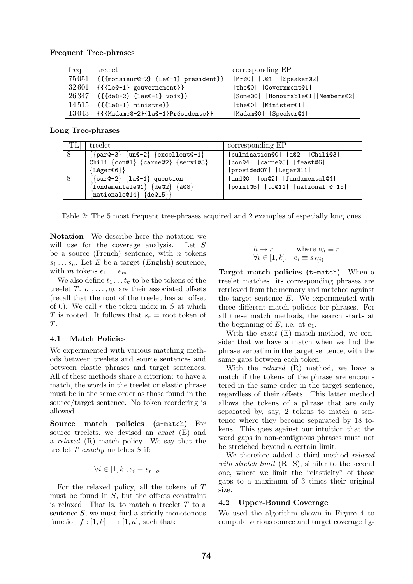#### Frequent Tree-phrases

| freq | treelet                                       | corresponding EP                              |  |  |
|------|-----------------------------------------------|-----------------------------------------------|--|--|
|      | $75051$   {{{monsieur@-2} {Le@-1} président}} | $ \text{Mr@0} $ $ .$ $@1 $ $ \text{Spear@2} $ |  |  |
|      | $32601$ {{{Le $0-1$ } gouvernement}}          | the@0   Government@1                          |  |  |
|      | $26347$ {{{de@-2} {les@-1} voix}}             | Some@0   Honourable@1  Members@2              |  |  |
|      | $14\,515$ {{{LeQ-1} ministre}}                | the@0   Minister@1                            |  |  |
|      | $13043$ {{{Madame@-2}{la@-1}Présidente}}      | Madam@0   Speaker@1                           |  |  |

Long Tree-phrases

| $^{\shortparallel} \text{TL}{}$ | treelet                                                                        | corresponding EP                |
|---------------------------------|--------------------------------------------------------------------------------|---------------------------------|
|                                 | $\left\{\{\text{par@-3}\}\right\} \{\text{un@-2}\}\$ $\{\text{excellent@-1}\}$ | culmination@0   a@2   Chili@3   |
|                                 | Chili {con@1} {carne@2} {servi@3}                                              | con@4   carne@5   feast@6       |
|                                 | ${Léger@6}$                                                                    | provided@7   Leger@11           |
|                                 | $\left\{\{\text{sur}\mathbb{C} - 2\}\right\}$ {la $\mathbb{C} - 1$ } question  | and@0   on@2   fundamental@4    |
|                                 | $\{fondamentale@1\}$ $\{de@2\}$ $\{â@8\}$                                      | point@5   to@11   national @ 15 |
|                                 | $\{$ nationale@14} $\{$ de@15} $\}$                                            |                                 |

Table 2: The 5 most frequent tree-phrases acquired and 2 examples of especially long ones.

Notation We describe here the notation we will use for the coverage analysis. Let S be a source (French) sentence, with  $n$  tokens  $s_1 \ldots s_n$ . Let E be a target (English) sentence, with  $m$  tokens  $e_1 \dots e_m$ .

We also define  $t_1 \ldots t_k$  to be the tokens of the treelet T.  $o_1, \ldots, o_k$  are their associated offsets (recall that the root of the treelet has an offset of 0). We call  $r$  the token index in  $S$  at which T is rooted. It follows that  $s_r =$  root token of T.

## 4.1 Match Policies

We experimented with various matching methods between treelets and source sentences and between elastic phrases and target sentences. All of these methods share a criterion: to have a match, the words in the treelet or elastic phrase must be in the same order as those found in the source/target sentence. No token reordering is allowed.

Source match policies (s-match) For source treelets, we devised an *exact* (E) and a relaxed (R) match policy. We say that the treelet  $T$  exactly matches  $S$  if:

$$
\forall i \in [1, k], e_i \equiv s_{r+o_i}
$$

For the relaxed policy, all the tokens of T must be found in  $S$ , but the offsets constraint is relaxed. That is, to match a treelet  $T$  to a sentence  $S$ , we must find a strictly monotonous function  $f : [1, k] \longrightarrow [1, n]$ , such that:

$$
\begin{array}{ll}\nh \to r & \text{where } o_h \equiv r \\
\forall i \in [1, k], & e_i \equiv s_{f(i)}\n\end{array}
$$

Target match policies (t-match) When a treelet matches, its corresponding phrases are retrieved from the memory and matched against the target sentence  $E$ . We experimented with three different match policies for phrases. For all these match methods, the search starts at the beginning of  $E$ , i.e. at  $e_1$ .

With the *exact*  $(E)$  match method, we consider that we have a match when we find the phrase verbatim in the target sentence, with the same gaps between each token.

With the *relaxed* (R) method, we have a match if the tokens of the phrase are encountered in the same order in the target sentence, regardless of their offsets. This latter method allows the tokens of a phrase that are only separated by, say, 2 tokens to match a sentence where they become separated by 18 tokens. This goes against our intuition that the word gaps in non-contiguous phrases must not be stretched beyond a certain limit.

We therefore added a third method *relaxed* with stretch limit  $(R+S)$ , similar to the second one, where we limit the "elasticity" of those gaps to a maximum of 3 times their original size.

#### 4.2 Upper-Bound Coverage

We used the algorithm shown in Figure 4 to compute various source and target coverage fig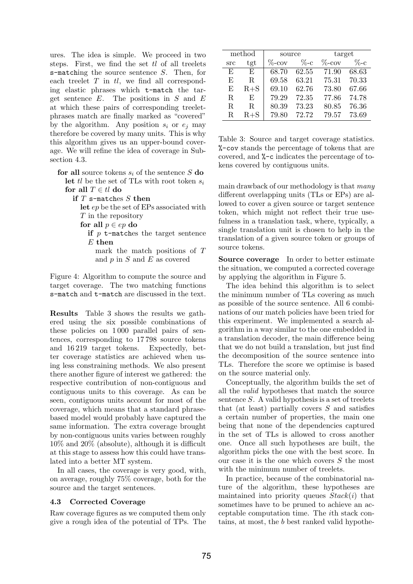ures. The idea is simple. We proceed in two steps. First, we find the set  $tl$  of all treelets s-matching the source sentence S. Then, for each treelet  $T$  in  $tl$ , we find all corresponding elastic phrases which t-match the target sentence  $E$ . The positions in  $S$  and  $E$ at which these pairs of corresponding treeletphrases match are finally marked as "covered" by the algorithm. Any position  $s_i$  or  $e_j$  may therefore be covered by many units. This is why this algorithm gives us an upper-bound coverage. We will refine the idea of coverage in Subsection 4.3.

for all source tokens  $s_i$  of the sentence S do let tl be the set of TLs with root token  $s_i$ for all  $T \in tl$  do

if  $T$  s-matches  $S$  then

let ep be the set of EPs associated with  $T$  in the repository

for all  $p \in ep$  do

if  $p$  t-matches the target sentence  $E$  then

mark the match positions of T and  $p$  in  $S$  and  $E$  as covered

Figure 4: Algorithm to compute the source and target coverage. The two matching functions s-match and t-match are discussed in the text.

Results Table 3 shows the results we gathered using the six possible combinations of these policies on 1 000 parallel pairs of sentences, corresponding to 17 798 source tokens and 16 219 target tokens. Expectedly, better coverage statistics are achieved when using less constraining methods. We also present there another figure of interest we gathered: the respective contribution of non-contiguous and contiguous units to this coverage. As can be seen, contiguous units account for most of the coverage, which means that a standard phrasebased model would probably have captured the same information. The extra coverage brought by non-contiguous units varies between roughly 10% and 20% (absolute), although it is difficult at this stage to assess how this could have translated into a better MT system.

In all cases, the coverage is very good, with, on average, roughly 75% coverage, both for the source and the target sentences.

## 4.3 Corrected Coverage

Raw coverage figures as we computed them only give a rough idea of the potential of TPs. The

| method |         | source    |         | target    |         |
|--------|---------|-----------|---------|-----------|---------|
| src    | tgt     | $\%$ -cov | $\%$ -c | $\%$ -cov | $\%$ -c |
| E      | F,      | 68.70     | 62.55   | 71.90     | 68.63   |
| E      | R.      | 69.58     | 63.21   | 75.31     | 70.33   |
| E,     | $R + S$ | 69.10     | 62.76   | 73.80     | 67.66   |
| R.     | E       | 79.29     | 72.35   | 77.86     | 74.78   |
| R.     | R.      | 80.39     | 73.23   | 80.85     | 76.36   |
| R.     | $R + S$ | 79.80     | 72.72   | 79.57     | 73.69   |

Table 3: Source and target coverage statistics. %-cov stands the percentage of tokens that are covered, and %-c indicates the percentage of tokens covered by contiguous units.

main drawback of our methodology is that many different overlapping units (TLs or EPs) are allowed to cover a given source or target sentence token, which might not reflect their true usefulness in a translation task, where, typically, a single translation unit is chosen to help in the translation of a given source token or groups of source tokens.

Source coverage In order to better estimate the situation, we computed a corrected coverage by applying the algorithm in Figure 5.

The idea behind this algorithm is to select the minimum number of TLs covering as much as possible of the source sentence. All 6 combinations of our match policies have been tried for this experiment. We implemented a search algorithm in a way similar to the one embedded in a translation decoder, the main difference being that we do not build a translation, but just find the decomposition of the source sentence into TLs. Therefore the score we optimise is based on the source material only.

Conceptually, the algorithm builds the set of all the valid hypotheses that match the source sentence  $S$ . A valid hypothesis is a set of treelets that (at least) partially covers  $S$  and satisfies a certain number of properties, the main one being that none of the dependencies captured in the set of TLs is allowed to cross another one. Once all such hypotheses are built, the algorithm picks the one with the best score. In our case it is the one which covers S the most with the minimum number of treelets.

In practice, because of the combinatorial nature of the algorithm, these hypotheses are maintained into priority queues  $Stack(i)$  that sometimes have to be pruned to achieve an acceptable computation time. The ith stack contains, at most, the b best ranked valid hypothe-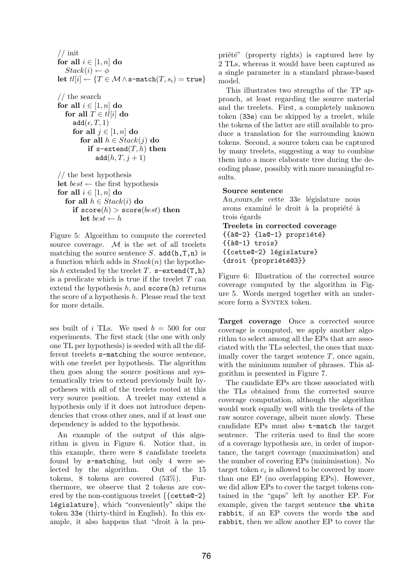$//$  init for all  $i \in [1, n]$  do  $Stack(i) \leftarrow \phi$ let  $tl[i] \leftarrow \{T \in \mathcal{M} \land s\text{-match}(T, s_i) = \text{true}\}$ 

 $//% \left( \mathcal{N}\right) \equiv\left( \mathcal{N}\right) \otimes\left( \mathcal{N}\right)$ for all  $i \in [1, n]$  do for all  $T \in tl[i]$  do  $add(\epsilon, T, 1)$ for all  $j \in [1, n]$  do for all  $h \in Stack(j)$  do if  $s$ -extend $(T, h)$  then  $\text{add}(h, T, j+1)$ 

// the best hypothesis let  $best \leftarrow$  the first hypothesis for all  $i \in [1, n]$  do for all  $h \in Stack(i)$  do if  $score(h) > score(best)$  then let  $best \leftarrow h$ 

Figure 5: Algorithm to compute the corrected source coverage.  $M$  is the set of all treelets matching the source sentence  $S$ . add $(h,T,n)$  is a function which adds in  $Stack(n)$  the hypothesis h extended by the treelet T.  $s$ -extend(T,h) is a predicate which is true if the treelet  $T$  can extend the hypothesis  $h$ , and  $score(h)$  returns the score of a hypothesis  $h$ . Please read the text for more details.

ses built of i TLs. We used  $b = 500$  for our experiments. The first stack (the one with only one TL per hypothesis) is seeded with all the different treelets s-matching the source sentence, with one treelet per hypothesis. The algorithm then goes along the source positions and systematically tries to extend previously built hypotheses with all of the treelets rooted at this very source position. A treelet may extend a hypothesis only if it does not introduce dependencies that cross other ones, and if at least one dependency is added to the hypothesis.

An example of the output of this algorithm is given in Figure 6. Notice that, in this example, there were 8 candidate treelets found by s-matching, but only 4 were selected by the algorithm. Out of the 15 tokens, 8 tokens are covered (53%). Furthermore, we observe that 2 tokens are covered by the non-contiguous treelet  $\{\{\text{cette@-2}\}\}\$ législature}, which "conveniently" skips the token 33e (thirty-third in English). In this example, it also happens that "droit à la propriété" (property rights) is captured here by 2 TLs, whereas it would have been captured as a single parameter in a standard phrase-based model.

This illustrates two strengths of the TP approach, at least regarding the source material and the treelets. First, a completely unknown token (33e) can be skipped by a treelet, while the tokens of the latter are still available to produce a translation for the surrounding known tokens. Second, a source token can be captured by many treelets, suggesting a way to combine them into a more elaborate tree during the decoding phase, possibly with more meaningful results.

## Source sentence

Au cours de cette 33e législature nous avons examiné le droit à la propriété à trois égards Treelets in corrected coverage  ${\{\text{\text{à}}0-2\}}$   ${\{\text{la}}0-1\}$  propriété}  ${f$  $\$ 0-1} trois} {{cette@-2} l´egislature} {droit {propriété@3}}

Figure 6: Illustration of the corrected source coverage computed by the algorithm in Figure 5. Words merged together with an underscore form a SYNTEX token.

Target coverage Once a corrected source coverage is computed, we apply another algorithm to select among all the EPs that are associated with the TLs selected, the ones that maximally cover the target sentence  $T$ , once again, with the minimum number of phrases. This algorithm is presented in Figure 7.

The candidate EPs are those associated with the TLs obtained from the corrected source coverage computation, although the algorithm would work equally well with the treelets of the raw source coverage, albeit more slowly. These candidate EPs must also t-match the target sentence. The criteria used to find the score of a coverage hypothesis are, in order of importance, the target coverage (maximisation) and the number of covering EPs (minimisation). No target token  $e_i$  is allowed to be covered by more than one EP (no overlapping EPs). However, we did allow EPs to cover the target tokens contained in the "gaps" left by another EP. For example, given the target sentence the white rabbit, if an EP covers the words the and rabbit, then we allow another EP to cover the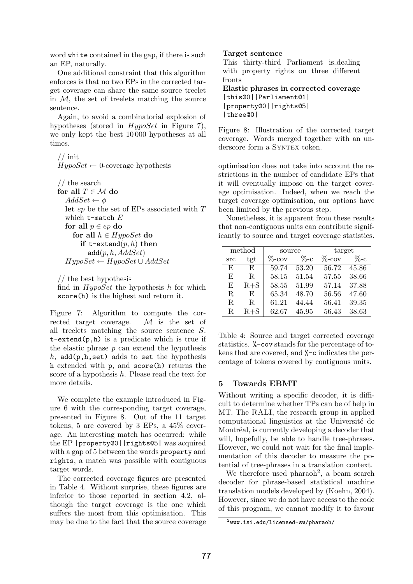word white contained in the gap, if there is such an EP, naturally.

One additional constraint that this algorithm enforces is that no two EPs in the corrected target coverage can share the same source treelet in  $M$ , the set of treelets matching the source sentence.

Again, to avoid a combinatorial explosion of hypotheses (stored in  $HypoSet$  in Figure 7), we only kept the best 10 000 hypotheses at all times.

 $//$  init  $HypoSet \leftarrow 0$ -coverage hypothesis

// the search for all  $T \in \mathcal{M}$  do  $AddSet \leftarrow \phi$ let ep be the set of EPs associated with T which  $t$ -match  $E$ for all  $p \in ep$  do for all  $h \in HypoSet$  do if t-extend $(p, h)$  then  $add(p, h, AddSet)$  $HypoSet \leftarrow HypoSet \cup AddSet$ 

// the best hypothesis

find in  $HypoSet$  the hypothesis h for which score(h) is the highest and return it.

Figure 7: Algorithm to compute the corrected target coverage. M is the set of all treelets matching the source sentence S.  $t$ -extend $(p,h)$  is a predicate which is true if the elastic phrase  $p$  can extend the hypothesis h,  $add(p, h, set)$  adds to set the hypothesis h extended with p, and score(h) returns the score of a hypothesis  $h$ . Please read the text for more details.

We complete the example introduced in Figure 6 with the corresponding target coverage, presented in Figure 8. Out of the 11 target tokens, 5 are covered by 3 EPs, a 45% coverage. An interesting match has occurred: while the EP |property@0||rights@5| was acquired with a gap of 5 between the words property and rights, a match was possible with contiguous target words.

The corrected coverage figures are presented in Table 4. Without surprise, these figures are inferior to those reported in section 4.2, although the target coverage is the one which suffers the most from this optimisation. This may be due to the fact that the source coverage

#### Target sentence

This thirty-third Parliament is dealing with property rights on three different fronts

Elastic phrases in corrected coverage |this@0||Parliament@1| |property@0||rights@5| |three@0|

Figure 8: Illustration of the corrected target coverage. Words merged together with an underscore form a SYNTEX token.

optimisation does not take into account the restrictions in the number of candidate EPs that it will eventually impose on the target coverage optimisation. Indeed, when we reach the target coverage optimisation, our options have been limited by the previous step.

Nonetheless, it is apparent from these results that non-contiguous units can contribute significantly to source and target coverage statistics.

| method |         | source    |         | target    |         |
|--------|---------|-----------|---------|-----------|---------|
| src    | tgt     | $\%$ -cov | $\%$ -c | $\%$ -cov | $\%$ -c |
| F,     | F.      | 59.74     | 53.20   | 56.72     | 45.86   |
| E      | R.      | 58.15     | 51.54   | 57.55     | 38.66   |
| E      | $R + S$ | 58.55     | 51.99   | 57.14     | 37.88   |
| R.     | E       | 65.34     | 48.70   | 56.56     | 47.60   |
| R.     | R.      | 61.21     | 44.44   | 56.41     | 39.35   |
| R.     | $R + S$ | 62.67     | 45.95   | 56.43     | 38.63   |

Table 4: Source and target corrected coverage statistics. %-cov stands for the percentage of tokens that are covered, and %-c indicates the percentage of tokens covered by contiguous units.

#### 5 Towards EBMT

Without writing a specific decoder, it is difficult to determine whether TPs can be of help in MT. The RALI, the research group in applied computational linguistics at the Université de Montréal, is currently developing a decoder that will, hopefully, be able to handle tree-phrases. However, we could not wait for the final implementation of this decoder to measure the potential of tree-phrases in a translation context.

We therefore used pharaoh<sup>2</sup>, a beam search decoder for phrase-based statistical machine translation models developed by (Koehn, 2004). However, since we do not have access to the code of this program, we cannot modify it to favour

 $^{2}$ www.isi.edu/licensed-sw/pharaoh/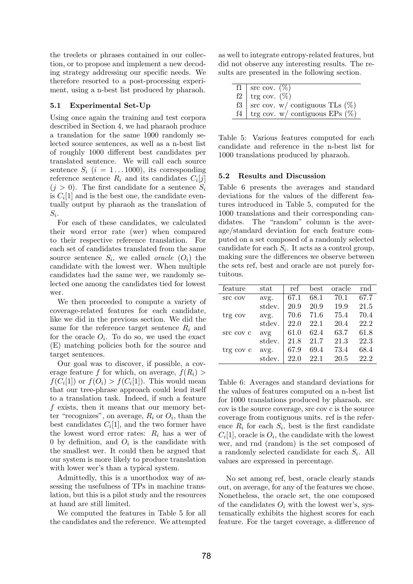the treelets or phrases contained in our collection, or to propose and implement a new decoding strategy addressing our specific needs. We therefore resorted to a post-processing experiment, using a n-best list produced by pharaoh.

#### 5.1 Experimental Set-Up

Using once again the training and test corpora described in Section 4, we had pharaoh produce a translation for the same 1000 randomly selected source sentences, as well as a n-best list of roughly 1000 different best candidates per translated sentence. We will call each source sentence  $S_i$   $(i = 1 \dots 1000)$ , its corresponding reference sentence  $R_i$  and its candidates  $C_i[j]$  $(j > 0)$ . The first candidate for a sentence  $S_i$ is  $C_i[1]$  and is the best one, the candidate eventually output by pharaoh as the translation of  $S_i$ .

For each of these candidates, we calculated their word error rate (wer) when compared to their respective reference translation. For each set of candidates translated from the same source sentence  $S_i$ , we called *oracle*  $(O_i)$  the candidate with the lowest wer. When multiple candidates had the same wer, we randomly selected one among the candidates tied for lowest wer.

We then proceeded to compute a variety of coverage-related features for each candidate, like we did in the previous section. We did the same for the reference target sentence  $R_i$  and for the oracle  $O_i$ . To do so, we used the exact (E) matching policies both for the source and target sentences.

Our goal was to discover, if possible, a coverage feature f for which, on average,  $f(R_i)$  $f(C_i[1])$  or  $f(O_i) > f(C_i[1])$ . This would mean that our tree-phrase approach could lend itself to a translation task. Indeed, if such a feature f exists, then it means that our memory better "recognizes", on average,  $R_i$  or  $O_i$ , than the best candidates  $C_i[1]$ , and the two former have the lowest word error rates:  $R_i$  has a wer of 0 by definition, and  $O_i$  is the candidate with the smallest wer. It could then be argued that our system is more likely to produce translation with lower wer's than a typical system.

Admittedly, this is a unorthodox way of assessing the usefulness of TPs in machine translation, but this is a pilot study and the resources at hand are still limited.

We computed the features in Table 5 for all the candidates and the reference. We attempted as well to integrate entropy-related features, but did not observe any interesting results. The results are presented in the following section.

|    | f1   src cov. $(\%)$                   |
|----|----------------------------------------|
| f2 | trg cov. $(\%)$                        |
|    | f3   src cov. w/ contiguous TLs $(\%)$ |
| f4 | trg cov. w/ contiguous EPs $(\%)$      |

Table 5: Various features computed for each candidate and reference in the n-best list for 1000 translations produced by pharaoh.

#### 5.2 Results and Discussion

Table 6 presents the averages and standard deviations for the values of the different features introduced in Table 5, computed for the 1000 translations and their corresponding candidates. The "random" column is the average/standard deviation for each feature computed on a set composed of a randomly selected candidate for each  $S_i$ . It acts as a control group, making sure the differences we observe between the sets ref, best and oracle are not purely fortuitous.

| feature   | $_{\rm stat}$ | ref  | best | oracle | rnd  |
|-----------|---------------|------|------|--------|------|
| src cov   | avg.          | 67.1 | 68.1 | 70.1   | 67.7 |
|           | stdev.        | 20.9 | 20.9 | 19.9   | 21.5 |
| trg cov   | avg.          | 70.6 | 71.6 | 75.4   | 70.4 |
|           | stdev.        | 22.0 | 22.1 | 20.4   | 22.2 |
| src cov c | avg           | 61.0 | 62.4 | 63.7   | 61.8 |
|           | stdev.        | 21.8 | 21.7 | 21.3   | 22.3 |
| trg cov c | avg.          | 67.9 | 69.4 | 73.4   | 68.4 |
|           | stdev.        | 22.0 | 22.1 | 20.5   | 22.2 |

Table 6: Averages and standard deviations for the values of features computed on a n-best list for 1000 translations produced by pharaoh. src cov is the source coverage, src cov c is the source coverage from contiguous units. ref is the reference  $R_i$  for each  $S_i$ , best is the first candidate  $C_i[1]$ , oracle is  $O_i$ , the candidate with the lowest wer, and rnd (random) is the set composed of a randomly selected candidate for each  $S_i$ . All values are expressed in percentage.

No set among ref, best, oracle clearly stands out, on average, for any of the features we chose. Nonetheless, the oracle set, the one composed of the candidates  $O_i$  with the lowest wer's, systematically exhibits the highest scores for each feature. For the target coverage, a difference of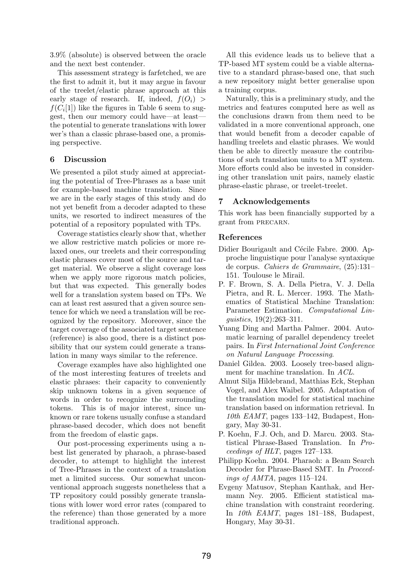3.9% (absolute) is observed between the oracle and the next best contender.

This assessment strategy is farfetched, we are the first to admit it, but it may argue in favour of the treelet/elastic phrase approach at this early stage of research. If, indeed,  $f(O_i)$  $f(C_i[1])$  like the figures in Table 6 seem to suggest, then our memory could have—at least the potential to generate translations with lower wer's than a classic phrase-based one, a promising perspective.

## 6 Discussion

We presented a pilot study aimed at appreciating the potential of Tree-Phrases as a base unit for example-based machine translation. Since we are in the early stages of this study and do not yet benefit from a decoder adapted to these units, we resorted to indirect measures of the potential of a repository populated with TPs.

Coverage statistics clearly show that, whether we allow restrictive match policies or more relaxed ones, our treelets and their corresponding elastic phrases cover most of the source and target material. We observe a slight coverage loss when we apply more rigorous match policies, but that was expected. This generally bodes well for a translation system based on TPs. We can at least rest assured that a given source sentence for which we need a translation will be recognized by the repository. Moreover, since the target coverage of the associated target sentence (reference) is also good, there is a distinct possibility that our system could generate a translation in many ways similar to the reference.

Coverage examples have also highlighted one of the most interesting features of treelets and elastic phrases: their capacity to conveniently skip unknown tokens in a given sequence of words in order to recognize the surrounding tokens. This is of major interest, since unknown or rare tokens usually confuse a standard phrase-based decoder, which does not benefit from the freedom of elastic gaps.

Our post-processing experiments using a nbest list generated by pharaoh, a phrase-based decoder, to attempt to highlight the interest of Tree-Phrases in the context of a translation met a limited success. Our somewhat unconventional approach suggests nonetheless that a TP repository could possibly generate translations with lower word error rates (compared to the reference) than those generated by a more traditional approach.

All this evidence leads us to believe that a TP-based MT system could be a viable alternative to a standard phrase-based one, that such a new repository might better generalise upon a training corpus.

Naturally, this is a preliminary study, and the metrics and features computed here as well as the conclusions drawn from them need to be validated in a more conventional approach, one that would benefit from a decoder capable of handling treelets and elastic phrases. We would then be able to directly measure the contributions of such translation units to a MT system. More efforts could also be invested in considering other translation unit pairs, namely elastic phrase-elastic phrase, or treelet-treelet.

### 7 Acknowledgements

This work has been financially supported by a grant from precarn.

### References

- Didier Bourigault and Cécile Fabre. 2000. Approche linguistique pour l'analyse syntaxique de corpus. Cahiers de Grammaire, (25):131– 151. Toulouse le Mirail.
- P. F. Brown, S. A. Della Pietra, V. J. Della Pietra, and R. L. Mercer. 1993. The Mathematics of Statistical Machine Translation: Parameter Estimation. Computational Linguistics, 19(2):263–311.
- Yuang Ding and Martha Palmer. 2004. Automatic learning of parallel dependency treelet pairs. In First International Joint Conference on Natural Language Processing.
- Daniel Gildea. 2003. Loosely tree-based alignment for machine translation. In ACL.
- Almut Silja Hildebrand, Matthias Eck, Stephan Vogel, and Alex Waibel. 2005. Adaptation of the translation model for statistical machine translation based on information retrieval. In 10th EAMT, pages 133–142, Budapest, Hongary, May 30-31.
- P. Koehn, F.J. Och, and D. Marcu. 2003. Statistical Phrase-Based Translation. In Proceedings of HLT, pages 127–133.
- Philipp Koehn. 2004. Pharaoh: a Beam Search Decoder for Phrase-Based SMT. In Proceedings of AMTA, pages 115–124.
- Evgeny Matusov, Stephan Kanthak, and Hermann Ney. 2005. Efficient statistical machine translation with constraint reordering. In 10th EAMT, pages 181–188, Budapest, Hongary, May 30-31.